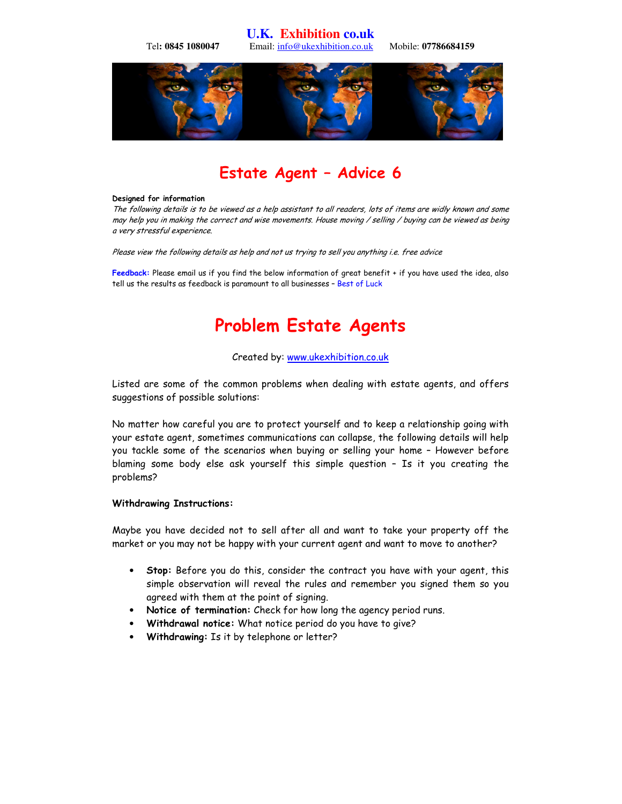**U.K. Exhibition co.uk**  Tel**: 0845 1080047** Email: info@ukexhibition.co.uk Mobile: **07786684159** 



## Estate Agent – Advice 6

#### Designed for information

The following details is to be viewed as a help assistant to all readers, lots of items are widly known and some may help you in making the correct and wise movements. House moving / selling / buying can be viewed as being a very stressful experience.

Please view the following details as help and not us trying to sell you anything i.e. free advice

Feedback: Please email us if you find the below information of great benefit + if you have used the idea, also tell us the results as feedback is paramount to all businesses – Best of Luck

# Problem Estate Agents

#### Created by: www.ukexhibition.co.uk

Listed are some of the common problems when dealing with estate agents, and offers suggestions of possible solutions:

No matter how careful you are to protect yourself and to keep a relationship going with your estate agent, sometimes communications can collapse, the following details will help you tackle some of the scenarios when buying or selling your home – However before blaming some body else ask yourself this simple question – Is it you creating the problems?

#### Withdrawing Instructions:

Maybe you have decided not to sell after all and want to take your property off the market or you may not be happy with your current agent and want to move to another?

- Stop: Before you do this, consider the contract you have with your agent, this simple observation will reveal the rules and remember you signed them so you agreed with them at the point of signing.
- Notice of termination: Check for how long the agency period runs.
- Withdrawal notice: What notice period do you have to give?
- Withdrawing: Is it by telephone or letter?